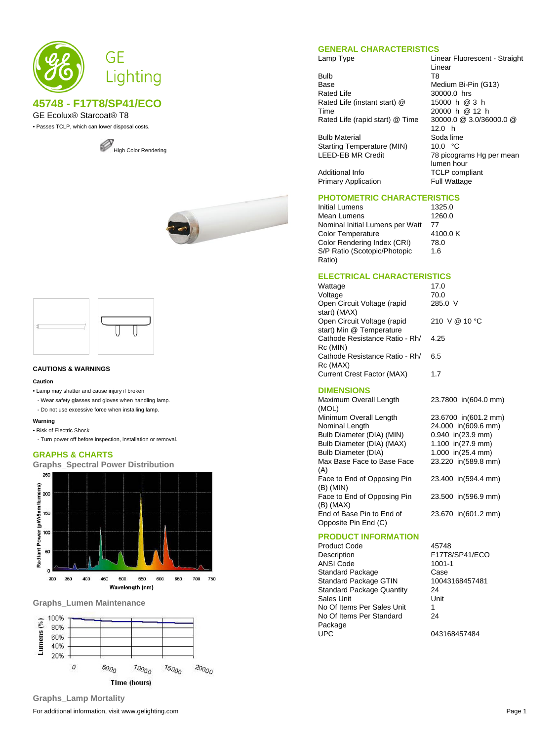

## **45748 - F17T8/SP41/ECO**

GE Ecolux® Starcoat® T8

• Passes TCLP, which can lower disposal costs.







#### **CAUTIONS & WARNINGS**

#### **Caution**

- Lamp may shatter and cause injury if broken
- Wear safety glasses and gloves when handling lamp.
- Do not use excessive force when installing lamp.

### **Warning**

- Risk of Electric Shock
- Turn power off before inspection, installation or removal.

#### **GRAPHS & CHARTS**

**Graphs\_Spectral Power Distribution**



#### **Graphs\_Lumen Maintenance**



#### **GENERAL CHARACTERISTICS**

Lamp Type **Linear Fluorescent - Straight** 

Bulb T8<br>Base Me Base Medium Bi-Pin (G13)<br>Rated Life 30000.0 hrs Rated Life (instant start) @ Time Rated Life (rapid start) @ Time 30000.0 @ 3.0/36000.0 @

Bulb Material Soda lime<br>Starting Temperature (MIN) 10.0 °C Starting Temperature (MIN) LEED-EB MR Credit 78 picograms Hg per mean

Additional Info **TCLP** compliant<br>
Primary Application **TEMP** Full Wattage Primary Application

# **PHOTOMETRIC CHARACTERISTICS**

Initial Lumens 1325.0<br>Mean Lumens 1260.0 Mean Lumens Nominal Initial Lumens per Watt 77<br>Color Temperature 4100.0 K Color Temperature 4100<br>Color Rendering Index (CRI) 78.0 Color Rendering Index (CRI) S/P Ratio (Scotopic/Photopic Ratio)

1.6

Linear

30000.0 hrs

12.0 h<br>Soda lime

lumen hour

15000 h @ 3 h 20000 h @ 12 h

#### **ELECTRICAL CHARACTERISTICS**

| 17.0          |
|---------------|
| 70.0          |
| 285.0 V       |
|               |
| 210 V @ 10 °C |
|               |
| 4.25          |
|               |
| 6.5           |
|               |
| 17            |
|               |

#### **DIMENSIONS**

| Maximum Overall Length      | 23.7800 in(604.0 mm) |
|-----------------------------|----------------------|
| (MOL)                       |                      |
| Minimum Overall Length      | 23.6700 in(601.2 mm) |
| Nominal Length              | 24.000 in(609.6 mm)  |
| Bulb Diameter (DIA) (MIN)   | $0.940$ in(23.9 mm)  |
| Bulb Diameter (DIA) (MAX)   | 1.100 in( $27.9$ mm) |
| <b>Bulb Diameter (DIA)</b>  | 1.000 in( $25.4$ mm) |
| Max Base Face to Base Face  | 23.220 in(589.8 mm)  |
| (A)                         |                      |
| Face to End of Opposing Pin | 23.400 in(594.4 mm)  |
| (B) (MIN)                   |                      |
| Face to End of Opposing Pin | 23.500 in(596.9 mm)  |
| (B) (MAX)                   |                      |
| End of Base Pin to End of   | 23.670 in(601.2 mm)  |
| Opposite Pin End (C)        |                      |
|                             |                      |

| <b>PRODUCT INFORMATION</b>       |                |
|----------------------------------|----------------|
| <b>Product Code</b>              | 45748          |
| Description                      | F17T8/SP41/ECO |
| <b>ANSI Code</b>                 | $1001 - 1$     |
| <b>Standard Package</b>          | Case           |
| <b>Standard Package GTIN</b>     | 10043168457481 |
| <b>Standard Package Quantity</b> | 24             |
| Sales Unit                       | Unit           |
| No Of Items Per Sales Unit       | 1              |
| No Of Items Per Standard         | 24             |
| Package                          |                |
| <b>UPC</b>                       | 043168457484   |

For additional information, visit www.gelighting.com **Page 1 Page 1 Graphs\_Lamp Mortality**